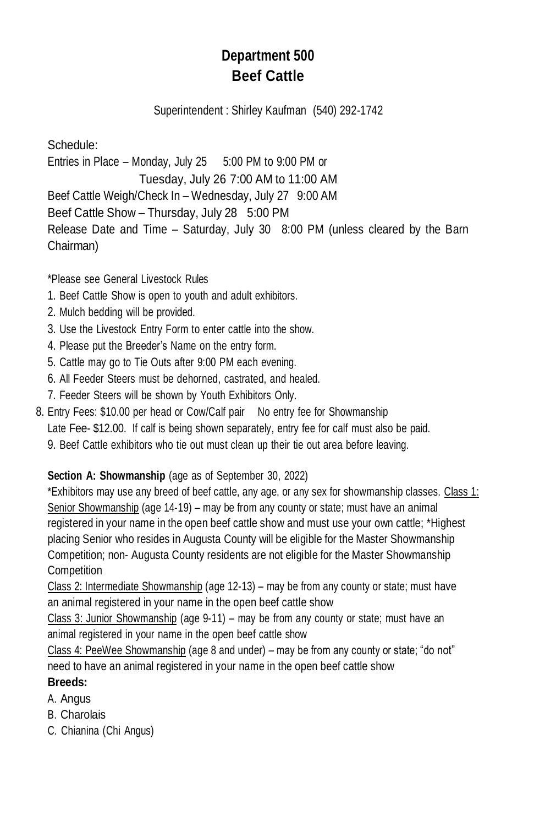## **Department 500 Beef Cattle**

Superintendent : Shirley Kaufman (540) 292-1742

Schedule: Entries in Place – Monday, July 25 5:00 PM to 9:00 PM or Tuesday, July 26 7:00 AM to 11:00 AM Beef Cattle Weigh/Check In – Wednesday, July 27 9:00 AM Beef Cattle Show – Thursday, July 28 5:00 PM Release Date and Time – Saturday, July 30 8:00 PM (unless cleared by the Barn Chairman)

\*Please see General Livestock Rules

- 1. Beef Cattle Show is open to youth and adult exhibitors.
- 2. Mulch bedding will be provided.
- 3. Use the Livestock Entry Form to enter cattle into the show.
- 4. Please put the Breeder's Name on the entry form.
- 5. Cattle may go to Tie Outs after 9:00 PM each evening.
- 6. All Feeder Steers must be dehorned, castrated, and healed.
- 7. Feeder Steers will be shown by Youth Exhibitors Only.
- 8. Entry Fees: \$10.00 per head or Cow/Calf pair No entry fee for Showmanship Late Fee- \$12.00. If calf is being shown separately, entry fee for calf must also be paid. 9. Beef Cattle exhibitors who tie out must clean up their tie out area before leaving.

## **Section A: Showmanship** (age as of September 30, 2022)

\*Exhibitors may use any breed of beef cattle, any age, or any sex for showmanship classes. Class 1: Senior Showmanship (age 14-19) – may be from any county or state; must have an animal registered in your name in the open beef cattle show and must use your own cattle; \*Highest placing Senior who resides in Augusta County will be eligible for the Master Showmanship Competition; non- Augusta County residents are not eligible for the Master Showmanship **Competition** 

Class 2: Intermediate Showmanship (age 12-13) – may be from any county or state; must have an animal registered in your name in the open beef cattle show

Class 3: Junior Showmanship (age 9-11) – may be from any county or state; must have an animal registered in your name in the open beef cattle show

Class 4: PeeWee Showmanship (age 8 and under) – may be from any county or state; "do not" need to have an animal registered in your name in the open beef cattle show

## **Breeds:**

- A. Angus
- B. Charolais
- C. Chianina (Chi Angus)